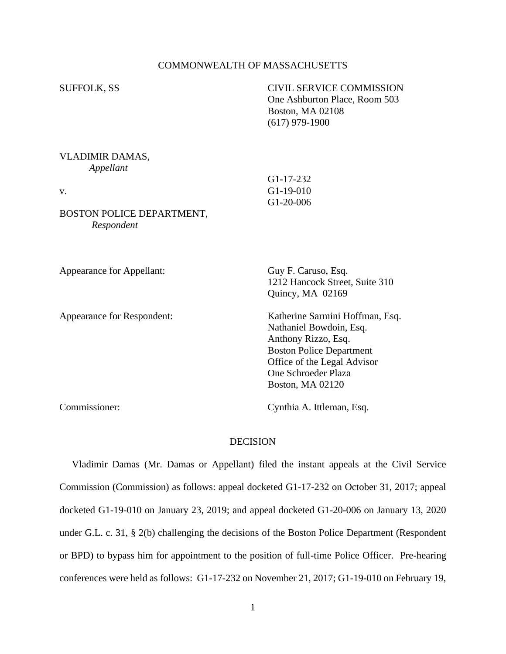## COMMONWEALTH OF MASSACHUSETTS

| <b>SUFFOLK, SS</b>                                                            | <b>CIVIL SERVICE COMMISSION</b><br>One Ashburton Place, Room 503<br>Boston, MA 02108<br>$(617)$ 979-1900                                                                                              |
|-------------------------------------------------------------------------------|-------------------------------------------------------------------------------------------------------------------------------------------------------------------------------------------------------|
| VLADIMIR DAMAS,<br>Appellant<br>V.<br>BOSTON POLICE DEPARTMENT,<br>Respondent | $G1-17-232$<br>G1-19-010<br>G1-20-006                                                                                                                                                                 |
| Appearance for Appellant:                                                     | Guy F. Caruso, Esq.<br>1212 Hancock Street, Suite 310<br>Quincy, MA 02169                                                                                                                             |
| Appearance for Respondent:                                                    | Katherine Sarmini Hoffman, Esq.<br>Nathaniel Bowdoin, Esq.<br>Anthony Rizzo, Esq.<br><b>Boston Police Department</b><br>Office of the Legal Advisor<br>One Schroeder Plaza<br><b>Boston, MA 02120</b> |

Commissioner: Cynthia A. Ittleman, Esq.

### DECISION

 Vladimir Damas (Mr. Damas or Appellant) filed the instant appeals at the Civil Service Commission (Commission) as follows: appeal docketed G1-17-232 on October 31, 2017; appeal docketed G1-19-010 on January 23, 2019; and appeal docketed G1-20-006 on January 13, 2020 under G.L. c. 31, § 2(b) challenging the decisions of the Boston Police Department (Respondent or BPD) to bypass him for appointment to the position of full-time Police Officer. Pre-hearing conferences were held as follows: G1-17-232 on November 21, 2017; G1-19-010 on February 19,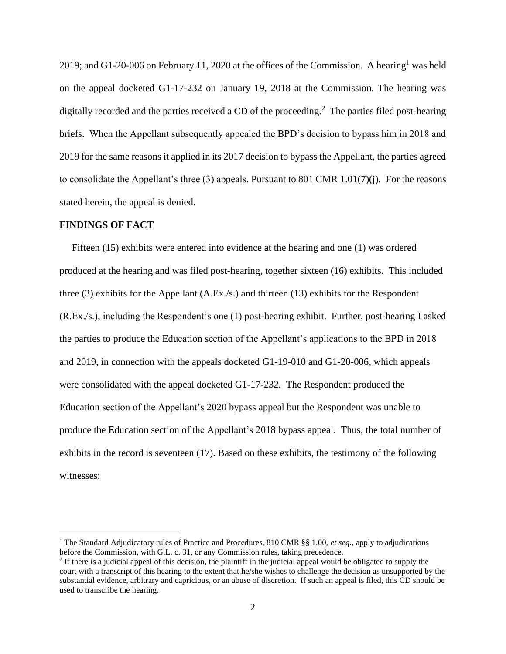2019; and G1-20-006 on February 11, 2020 at the offices of the Commission. A hearing<sup>1</sup> was held on the appeal docketed G1-17-232 on January 19, 2018 at the Commission. The hearing was digitally recorded and the parties received a CD of the proceeding.<sup>2</sup> The parties filed post-hearing briefs. When the Appellant subsequently appealed the BPD's decision to bypass him in 2018 and 2019 for the same reasons it applied in its 2017 decision to bypass the Appellant, the parties agreed to consolidate the Appellant's three (3) appeals. Pursuant to 801 CMR 1.01(7)(j). For the reasons stated herein, the appeal is denied.

#### **FINDINGS OF FACT**

 Fifteen (15) exhibits were entered into evidence at the hearing and one (1) was ordered produced at the hearing and was filed post-hearing, together sixteen (16) exhibits. This included three (3) exhibits for the Appellant (A.Ex./s.) and thirteen (13) exhibits for the Respondent (R.Ex./s.), including the Respondent's one (1) post-hearing exhibit. Further, post-hearing I asked the parties to produce the Education section of the Appellant's applications to the BPD in 2018 and 2019, in connection with the appeals docketed G1-19-010 and G1-20-006, which appeals were consolidated with the appeal docketed G1-17-232. The Respondent produced the Education section of the Appellant's 2020 bypass appeal but the Respondent was unable to produce the Education section of the Appellant's 2018 bypass appeal. Thus, the total number of exhibits in the record is seventeen (17). Based on these exhibits, the testimony of the following witnesses:

<sup>1</sup> The Standard Adjudicatory rules of Practice and Procedures, 810 CMR §§ 1.00, *et seq.*, apply to adjudications before the Commission, with G.L. c. 31, or any Commission rules, taking precedence.

<sup>&</sup>lt;sup>2</sup> If there is a judicial appeal of this decision, the plaintiff in the judicial appeal would be obligated to supply the court with a transcript of this hearing to the extent that he/she wishes to challenge the decision as unsupported by the substantial evidence, arbitrary and capricious, or an abuse of discretion. If such an appeal is filed, this CD should be used to transcribe the hearing.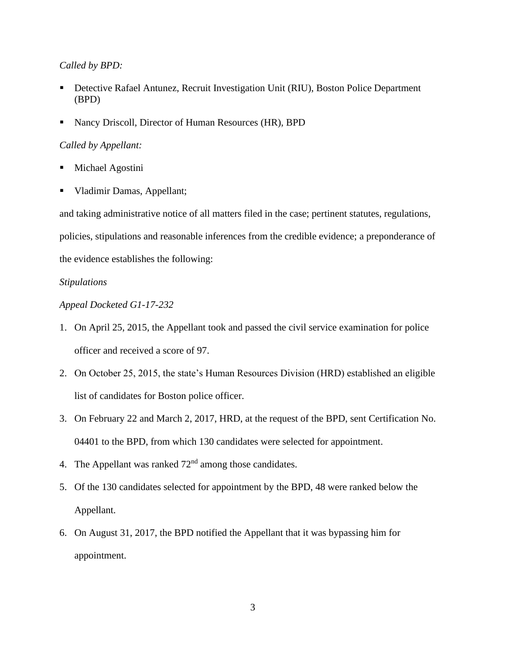### *Called by BPD:*

- Detective Rafael Antunez, Recruit Investigation Unit (RIU), Boston Police Department (BPD)
- Nancy Driscoll, Director of Human Resources (HR), BPD

## *Called by Appellant:*

- Michael Agostini
- Vladimir Damas, Appellant;

and taking administrative notice of all matters filed in the case; pertinent statutes, regulations, policies, stipulations and reasonable inferences from the credible evidence; a preponderance of the evidence establishes the following:

# *Stipulations*

# *Appeal Docketed G1-17-232*

- 1. On April 25, 2015, the Appellant took and passed the civil service examination for police officer and received a score of 97.
- 2. On October 25, 2015, the state's Human Resources Division (HRD) established an eligible list of candidates for Boston police officer.
- 3. On February 22 and March 2, 2017, HRD, at the request of the BPD, sent Certification No. 04401 to the BPD, from which 130 candidates were selected for appointment.
- 4. The Appellant was ranked  $72<sup>nd</sup>$  among those candidates.
- 5. Of the 130 candidates selected for appointment by the BPD, 48 were ranked below the Appellant.
- 6. On August 31, 2017, the BPD notified the Appellant that it was bypassing him for appointment.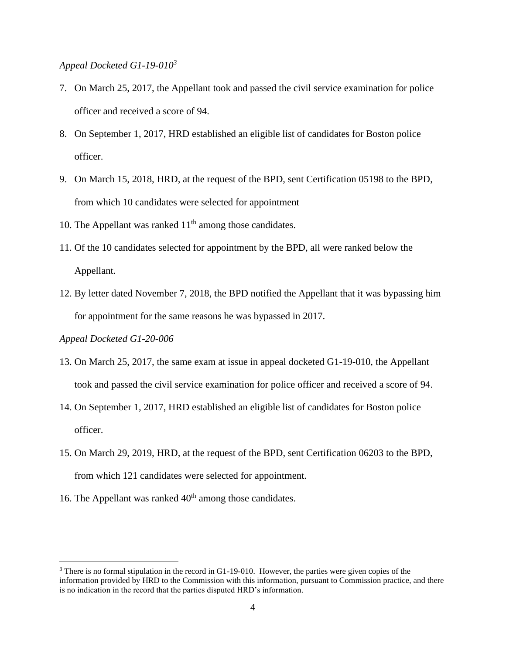### *Appeal Docketed G1-19-010<sup>3</sup>*

- 7. On March 25, 2017, the Appellant took and passed the civil service examination for police officer and received a score of 94.
- 8. On September 1, 2017, HRD established an eligible list of candidates for Boston police officer.
- 9. On March 15, 2018, HRD, at the request of the BPD, sent Certification 05198 to the BPD, from which 10 candidates were selected for appointment
- 10. The Appellant was ranked  $11<sup>th</sup>$  among those candidates.
- 11. Of the 10 candidates selected for appointment by the BPD, all were ranked below the Appellant.
- 12. By letter dated November 7, 2018, the BPD notified the Appellant that it was bypassing him for appointment for the same reasons he was bypassed in 2017.

#### *Appeal Docketed G1-20-006*

- 13. On March 25, 2017, the same exam at issue in appeal docketed G1-19-010, the Appellant took and passed the civil service examination for police officer and received a score of 94.
- 14. On September 1, 2017, HRD established an eligible list of candidates for Boston police officer.
- 15. On March 29, 2019, HRD, at the request of the BPD, sent Certification 06203 to the BPD, from which 121 candidates were selected for appointment.
- 16. The Appellant was ranked  $40<sup>th</sup>$  among those candidates.

<sup>&</sup>lt;sup>3</sup> There is no formal stipulation in the record in G1-19-010. However, the parties were given copies of the information provided by HRD to the Commission with this information, pursuant to Commission practice, and there is no indication in the record that the parties disputed HRD's information.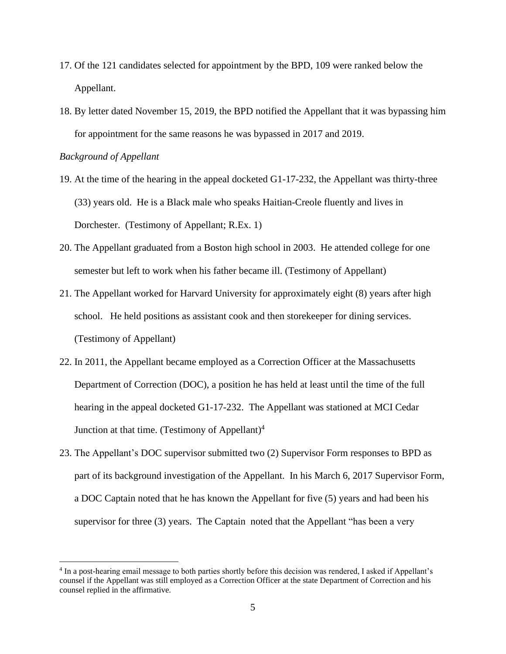- 17. Of the 121 candidates selected for appointment by the BPD, 109 were ranked below the Appellant.
- 18. By letter dated November 15, 2019, the BPD notified the Appellant that it was bypassing him for appointment for the same reasons he was bypassed in 2017 and 2019.

*Background of Appellant*

- 19. At the time of the hearing in the appeal docketed G1-17-232, the Appellant was thirty-three (33) years old. He is a Black male who speaks Haitian-Creole fluently and lives in Dorchester. (Testimony of Appellant; R.Ex. 1)
- 20. The Appellant graduated from a Boston high school in 2003. He attended college for one semester but left to work when his father became ill. (Testimony of Appellant)
- 21. The Appellant worked for Harvard University for approximately eight (8) years after high school. He held positions as assistant cook and then storekeeper for dining services. (Testimony of Appellant)
- 22. In 2011, the Appellant became employed as a Correction Officer at the Massachusetts Department of Correction (DOC), a position he has held at least until the time of the full hearing in the appeal docketed G1-17-232. The Appellant was stationed at MCI Cedar Junction at that time. (Testimony of Appellant) $<sup>4</sup>$ </sup>
- 23. The Appellant's DOC supervisor submitted two (2) Supervisor Form responses to BPD as part of its background investigation of the Appellant. In his March 6, 2017 Supervisor Form, a DOC Captain noted that he has known the Appellant for five (5) years and had been his supervisor for three (3) years. The Captain noted that the Appellant "has been a very

<sup>&</sup>lt;sup>4</sup> In a post-hearing email message to both parties shortly before this decision was rendered, I asked if Appellant's counsel if the Appellant was still employed as a Correction Officer at the state Department of Correction and his counsel replied in the affirmative.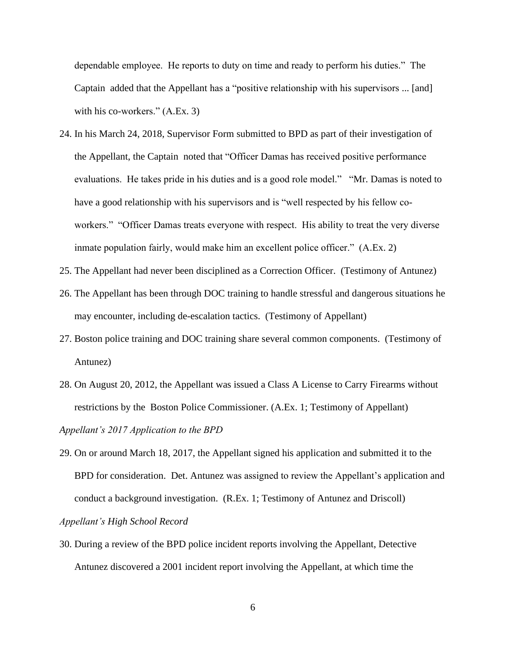dependable employee. He reports to duty on time and ready to perform his duties." The Captain added that the Appellant has a "positive relationship with his supervisors ... [and] with his co-workers." (A.Ex. 3)

- 24. In his March 24, 2018, Supervisor Form submitted to BPD as part of their investigation of the Appellant, the Captain noted that "Officer Damas has received positive performance evaluations. He takes pride in his duties and is a good role model." "Mr. Damas is noted to have a good relationship with his supervisors and is "well respected by his fellow coworkers." "Officer Damas treats everyone with respect. His ability to treat the very diverse inmate population fairly, would make him an excellent police officer." (A.Ex. 2)
- 25. The Appellant had never been disciplined as a Correction Officer. (Testimony of Antunez)
- 26. The Appellant has been through DOC training to handle stressful and dangerous situations he may encounter, including de-escalation tactics. (Testimony of Appellant)
- 27. Boston police training and DOC training share several common components. (Testimony of Antunez)
- 28. On August 20, 2012, the Appellant was issued a Class A License to Carry Firearms without restrictions by the Boston Police Commissioner. (A.Ex. 1; Testimony of Appellant)

*Appellant's 2017 Application to the BPD* 

29. On or around March 18, 2017, the Appellant signed his application and submitted it to the BPD for consideration. Det. Antunez was assigned to review the Appellant's application and conduct a background investigation.(R.Ex. 1; Testimony of Antunez and Driscoll) *Appellant's High School Record*

30. During a review of the BPD police incident reports involving the Appellant, Detective Antunez discovered a 2001 incident report involving the Appellant, at which time the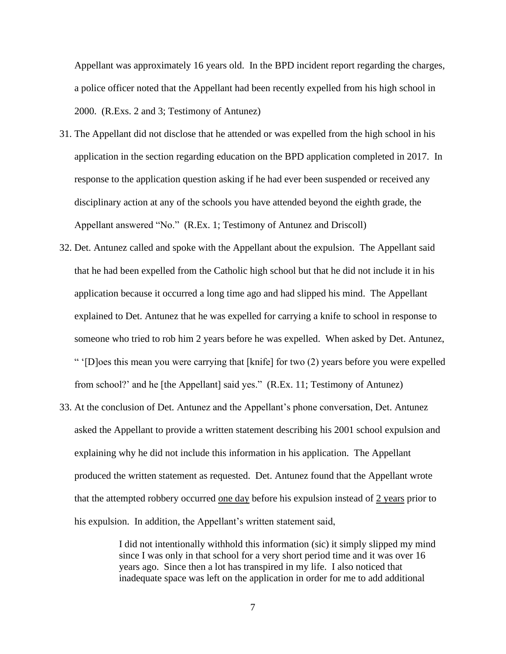Appellant was approximately 16 years old. In the BPD incident report regarding the charges, a police officer noted that the Appellant had been recently expelled from his high school in 2000. (R.Exs. 2 and 3; Testimony of Antunez)

- 31. The Appellant did not disclose that he attended or was expelled from the high school in his application in the section regarding education on the BPD application completed in 2017. In response to the application question asking if he had ever been suspended or received any disciplinary action at any of the schools you have attended beyond the eighth grade, the Appellant answered "No." (R.Ex. 1; Testimony of Antunez and Driscoll)
- 32. Det. Antunez called and spoke with the Appellant about the expulsion. The Appellant said that he had been expelled from the Catholic high school but that he did not include it in his application because it occurred a long time ago and had slipped his mind. The Appellant explained to Det. Antunez that he was expelled for carrying a knife to school in response to someone who tried to rob him 2 years before he was expelled. When asked by Det. Antunez, " '[D]oes this mean you were carrying that [knife] for two (2) years before you were expelled from school?' and he [the Appellant] said yes." (R.Ex. 11; Testimony of Antunez)
- 33. At the conclusion of Det. Antunez and the Appellant's phone conversation, Det. Antunez asked the Appellant to provide a written statement describing his 2001 school expulsion and explaining why he did not include this information in his application. The Appellant produced the written statement as requested. Det. Antunez found that the Appellant wrote that the attempted robbery occurred one day before his expulsion instead of 2 years prior to his expulsion. In addition, the Appellant's written statement said,

I did not intentionally withhold this information (sic) it simply slipped my mind since I was only in that school for a very short period time and it was over 16 years ago. Since then a lot has transpired in my life. I also noticed that inadequate space was left on the application in order for me to add additional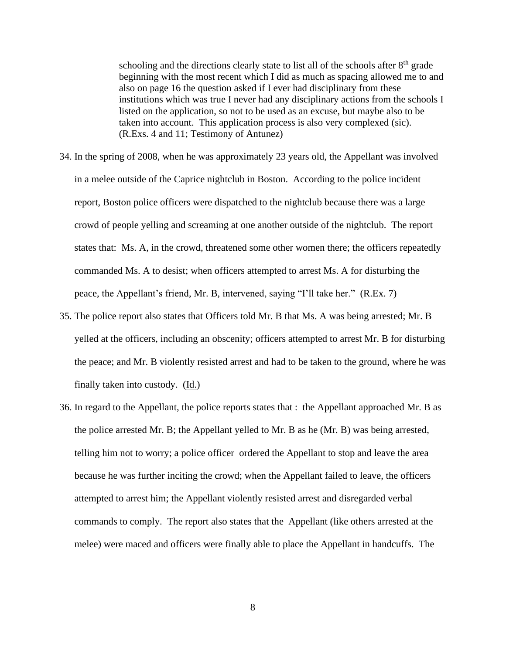schooling and the directions clearly state to list all of the schools after  $8<sup>th</sup>$  grade beginning with the most recent which I did as much as spacing allowed me to and also on page 16 the question asked if I ever had disciplinary from these institutions which was true I never had any disciplinary actions from the schools I listed on the application, so not to be used as an excuse, but maybe also to be taken into account. This application process is also very complexed (sic). (R.Exs. 4 and 11; Testimony of Antunez)

- 34. In the spring of 2008, when he was approximately 23 years old, the Appellant was involved in a melee outside of the Caprice nightclub in Boston. According to the police incident report, Boston police officers were dispatched to the nightclub because there was a large crowd of people yelling and screaming at one another outside of the nightclub. The report states that: Ms. A, in the crowd, threatened some other women there; the officers repeatedly commanded Ms. A to desist; when officers attempted to arrest Ms. A for disturbing the peace, the Appellant's friend, Mr. B, intervened, saying "I'll take her." (R.Ex. 7)
- 35. The police report also states that Officers told Mr. B that Ms. A was being arrested; Mr. B yelled at the officers, including an obscenity; officers attempted to arrest Mr. B for disturbing the peace; and Mr. B violently resisted arrest and had to be taken to the ground, where he was finally taken into custody. (Id.)
- 36. In regard to the Appellant, the police reports states that : the Appellant approached Mr. B as the police arrested Mr. B; the Appellant yelled to Mr. B as he (Mr. B) was being arrested, telling him not to worry; a police officer ordered the Appellant to stop and leave the area because he was further inciting the crowd; when the Appellant failed to leave, the officers attempted to arrest him; the Appellant violently resisted arrest and disregarded verbal commands to comply. The report also states that the Appellant (like others arrested at the melee) were maced and officers were finally able to place the Appellant in handcuffs. The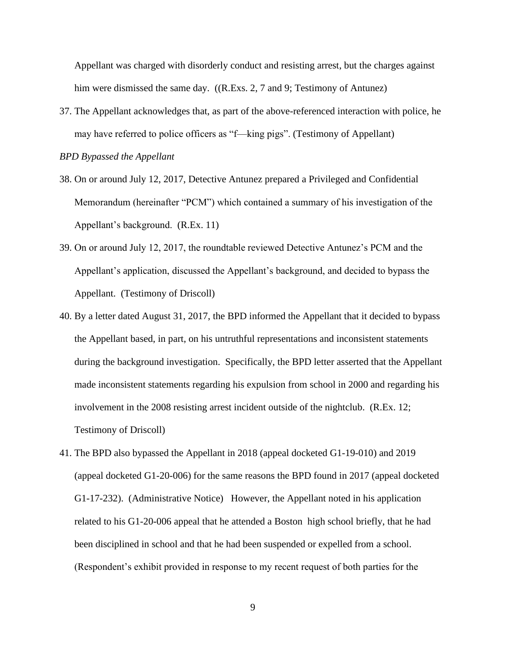Appellant was charged with disorderly conduct and resisting arrest, but the charges against him were dismissed the same day. ((R.Exs. 2, 7 and 9; Testimony of Antunez)

37. The Appellant acknowledges that, as part of the above-referenced interaction with police, he may have referred to police officers as "f—king pigs". (Testimony of Appellant)

*BPD Bypassed the Appellant*

- 38. On or around July 12, 2017, Detective Antunez prepared a Privileged and Confidential Memorandum (hereinafter "PCM") which contained a summary of his investigation of the Appellant's background. (R.Ex. 11)
- 39. On or around July 12, 2017, the roundtable reviewed Detective Antunez's PCM and the Appellant's application, discussed the Appellant's background, and decided to bypass the Appellant. (Testimony of Driscoll)
- 40. By a letter dated August 31, 2017, the BPD informed the Appellant that it decided to bypass the Appellant based, in part, on his untruthful representations and inconsistent statements during the background investigation. Specifically, the BPD letter asserted that the Appellant made inconsistent statements regarding his expulsion from school in 2000 and regarding his involvement in the 2008 resisting arrest incident outside of the nightclub. (R.Ex. 12; Testimony of Driscoll)
- 41. The BPD also bypassed the Appellant in 2018 (appeal docketed G1-19-010) and 2019 (appeal docketed G1-20-006) for the same reasons the BPD found in 2017 (appeal docketed G1-17-232). (Administrative Notice) However, the Appellant noted in his application related to his G1-20-006 appeal that he attended a Boston high school briefly, that he had been disciplined in school and that he had been suspended or expelled from a school. (Respondent's exhibit provided in response to my recent request of both parties for the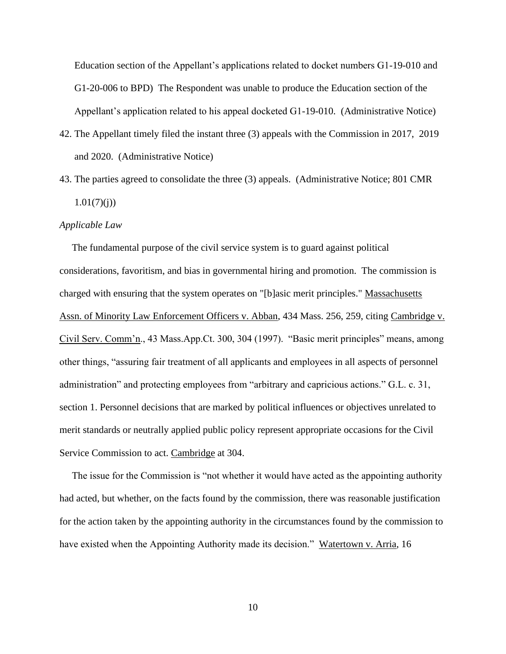Education section of the Appellant's applications related to docket numbers G1-19-010 and G1-20-006 to BPD) The Respondent was unable to produce the Education section of the Appellant's application related to his appeal docketed G1-19-010. (Administrative Notice)

- 42. The Appellant timely filed the instant three (3) appeals with the Commission in 2017, 2019 and 2020. (Administrative Notice)
- 43. The parties agreed to consolidate the three (3) appeals. (Administrative Notice; 801 CMR  $1.01(7)(i)$

#### *Applicable Law*

 The fundamental purpose of the civil service system is to guard against political considerations, favoritism, and bias in governmental hiring and promotion. The commission is charged with ensuring that the system operates on "[b]asic merit principles." Massachusetts Assn. of Minority Law Enforcement Officers v. Abban, 434 Mass. 256, 259, citing Cambridge v. Civil Serv. Comm'n., 43 Mass.App.Ct. 300, 304 (1997). "Basic merit principles" means, among other things, "assuring fair treatment of all applicants and employees in all aspects of personnel administration" and protecting employees from "arbitrary and capricious actions." G.L. c. 31, section 1. Personnel decisions that are marked by political influences or objectives unrelated to merit standards or neutrally applied public policy represent appropriate occasions for the Civil Service Commission to act. Cambridge at 304.

 The issue for the Commission is "not whether it would have acted as the appointing authority had acted, but whether, on the facts found by the commission, there was reasonable justification for the action taken by the appointing authority in the circumstances found by the commission to have existed when the Appointing Authority made its decision." Watertown v. Arria, 16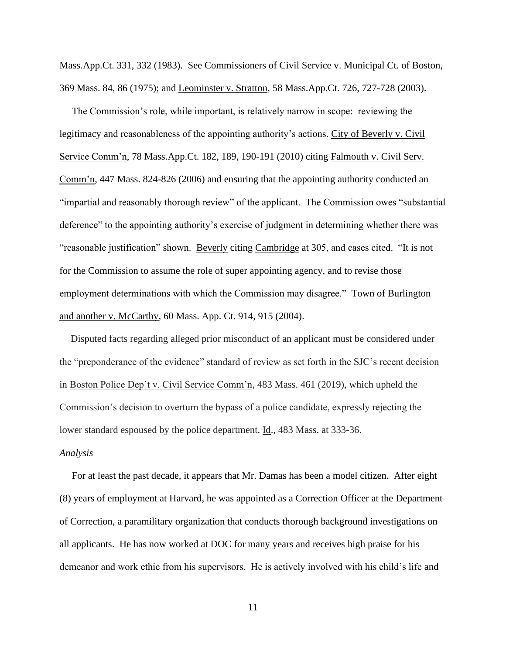Mass.App.Ct. 331, 332 (1983). See Commissioners of Civil Service v. Municipal Ct. of Boston, 369 Mass. 84, 86 (1975); and Leominster v. Stratton, 58 Mass.App.Ct. 726, 727-728 (2003).

 The Commission's role, while important, is relatively narrow in scope: reviewing the legitimacy and reasonableness of the appointing authority's actions. City of Beverly v. Civil Service Comm'n, 78 Mass.App.Ct. 182, 189, 190-191 (2010) citing Falmouth v. Civil Serv. Comm'n, 447 Mass. 824-826 (2006) and ensuring that the appointing authority conducted an "impartial and reasonably thorough review" of the applicant. The Commission owes "substantial deference" to the appointing authority's exercise of judgment in determining whether there was "reasonable justification" shown. Beverly citing Cambridge at 305, and cases cited. "It is not for the Commission to assume the role of super appointing agency, and to revise those employment determinations with which the Commission may disagree." Town of Burlington and another v. McCarthy, 60 Mass. App. Ct. 914, 915 (2004).

Disputed facts regarding alleged prior misconduct of an applicant must be considered under the "preponderance of the evidence" standard of review as set forth in the SJC's recent decision in Boston Police Dep't v. Civil Service Comm'n, 483 Mass. 461 (2019), which upheld the Commission's decision to overturn the bypass of a police candidate, expressly rejecting the lower standard espoused by the police department. Id., 483 Mass. at 333-36.

#### *Analysis*

 For at least the past decade, it appears that Mr. Damas has been a model citizen. After eight (8) years of employment at Harvard, he was appointed as a Correction Officer at the Department of Correction, a paramilitary organization that conducts thorough background investigations on all applicants. He has now worked at DOC for many years and receives high praise for his demeanor and work ethic from his supervisors. He is actively involved with his child's life and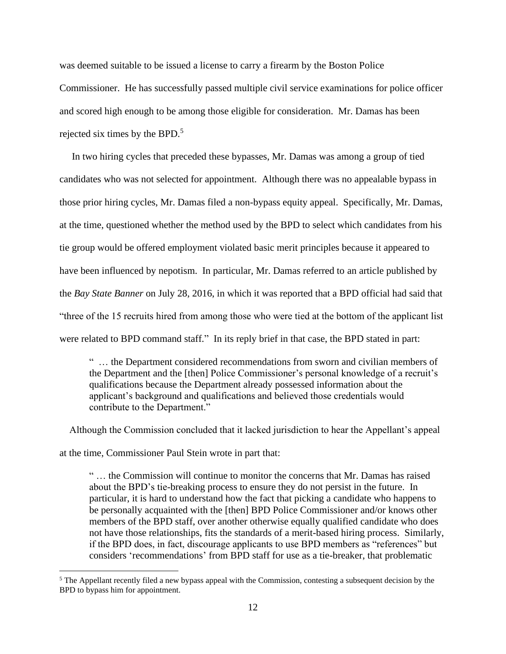was deemed suitable to be issued a license to carry a firearm by the Boston Police

Commissioner. He has successfully passed multiple civil service examinations for police officer and scored high enough to be among those eligible for consideration. Mr. Damas has been rejected six times by the BPD. $5$ 

 In two hiring cycles that preceded these bypasses, Mr. Damas was among a group of tied candidates who was not selected for appointment. Although there was no appealable bypass in those prior hiring cycles, Mr. Damas filed a non-bypass equity appeal. Specifically, Mr. Damas, at the time, questioned whether the method used by the BPD to select which candidates from his tie group would be offered employment violated basic merit principles because it appeared to have been influenced by nepotism. In particular, Mr. Damas referred to an article published by the *Bay State Banner* on July 28, 2016, in which it was reported that a BPD official had said that "three of the 15 recruits hired from among those who were tied at the bottom of the applicant list were related to BPD command staff." In its reply brief in that case, the BPD stated in part:

" … the Department considered recommendations from sworn and civilian members of the Department and the [then] Police Commissioner's personal knowledge of a recruit's qualifications because the Department already possessed information about the applicant's background and qualifications and believed those credentials would contribute to the Department."

Although the Commission concluded that it lacked jurisdiction to hear the Appellant's appeal

at the time, Commissioner Paul Stein wrote in part that:

" … the Commission will continue to monitor the concerns that Mr. Damas has raised about the BPD's tie-breaking process to ensure they do not persist in the future. In particular, it is hard to understand how the fact that picking a candidate who happens to be personally acquainted with the [then] BPD Police Commissioner and/or knows other members of the BPD staff, over another otherwise equally qualified candidate who does not have those relationships, fits the standards of a merit-based hiring process. Similarly, if the BPD does, in fact, discourage applicants to use BPD members as "references" but considers 'recommendations' from BPD staff for use as a tie-breaker, that problematic

<sup>&</sup>lt;sup>5</sup> The Appellant recently filed a new bypass appeal with the Commission, contesting a subsequent decision by the BPD to bypass him for appointment.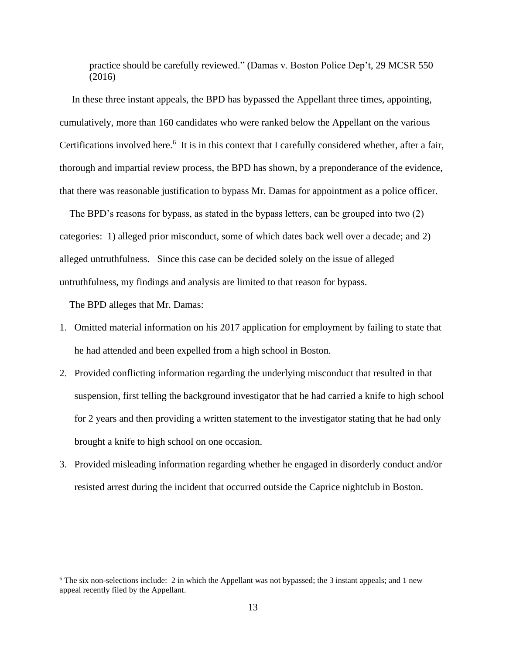practice should be carefully reviewed." (Damas v. Boston Police Dep't, 29 MCSR 550) (2016)

 In these three instant appeals, the BPD has bypassed the Appellant three times, appointing, cumulatively, more than 160 candidates who were ranked below the Appellant on the various Certifications involved here.<sup>6</sup> It is in this context that I carefully considered whether, after a fair, thorough and impartial review process, the BPD has shown, by a preponderance of the evidence, that there was reasonable justification to bypass Mr. Damas for appointment as a police officer.

 The BPD's reasons for bypass, as stated in the bypass letters, can be grouped into two (2) categories: 1) alleged prior misconduct, some of which dates back well over a decade; and 2) alleged untruthfulness. Since this case can be decided solely on the issue of alleged untruthfulness, my findings and analysis are limited to that reason for bypass.

The BPD alleges that Mr. Damas:

- 1. Omitted material information on his 2017 application for employment by failing to state that he had attended and been expelled from a high school in Boston.
- 2. Provided conflicting information regarding the underlying misconduct that resulted in that suspension, first telling the background investigator that he had carried a knife to high school for 2 years and then providing a written statement to the investigator stating that he had only brought a knife to high school on one occasion.
- 3. Provided misleading information regarding whether he engaged in disorderly conduct and/or resisted arrest during the incident that occurred outside the Caprice nightclub in Boston.

<sup>6</sup> The six non-selections include: 2 in which the Appellant was not bypassed; the 3 instant appeals; and 1 new appeal recently filed by the Appellant.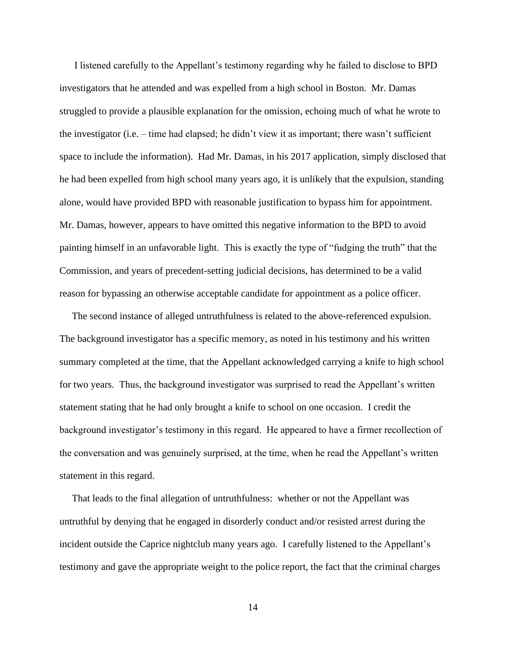I listened carefully to the Appellant's testimony regarding why he failed to disclose to BPD investigators that he attended and was expelled from a high school in Boston. Mr. Damas struggled to provide a plausible explanation for the omission, echoing much of what he wrote to the investigator (i.e. – time had elapsed; he didn't view it as important; there wasn't sufficient space to include the information). Had Mr. Damas, in his 2017 application, simply disclosed that he had been expelled from high school many years ago, it is unlikely that the expulsion, standing alone, would have provided BPD with reasonable justification to bypass him for appointment. Mr. Damas, however, appears to have omitted this negative information to the BPD to avoid painting himself in an unfavorable light. This is exactly the type of "fudging the truth" that the Commission, and years of precedent-setting judicial decisions, has determined to be a valid reason for bypassing an otherwise acceptable candidate for appointment as a police officer.

 The second instance of alleged untruthfulness is related to the above-referenced expulsion. The background investigator has a specific memory, as noted in his testimony and his written summary completed at the time, that the Appellant acknowledged carrying a knife to high school for two years. Thus, the background investigator was surprised to read the Appellant's written statement stating that he had only brought a knife to school on one occasion. I credit the background investigator's testimony in this regard. He appeared to have a firmer recollection of the conversation and was genuinely surprised, at the time, when he read the Appellant's written statement in this regard.

 That leads to the final allegation of untruthfulness: whether or not the Appellant was untruthful by denying that he engaged in disorderly conduct and/or resisted arrest during the incident outside the Caprice nightclub many years ago. I carefully listened to the Appellant's testimony and gave the appropriate weight to the police report, the fact that the criminal charges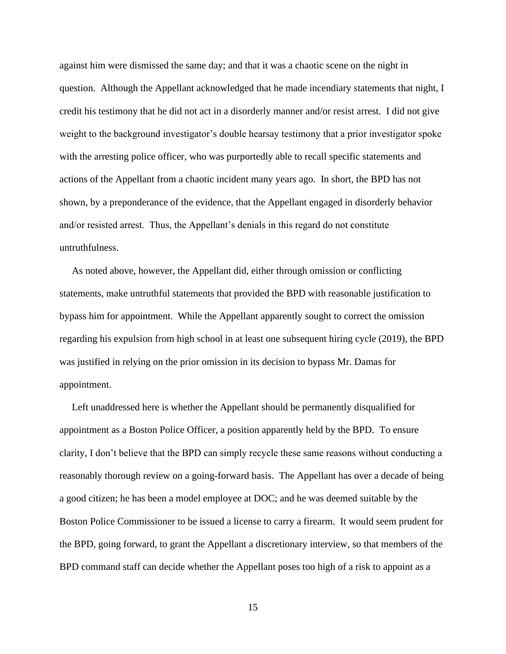against him were dismissed the same day; and that it was a chaotic scene on the night in question. Although the Appellant acknowledged that he made incendiary statements that night, I credit his testimony that he did not act in a disorderly manner and/or resist arrest. I did not give weight to the background investigator's double hearsay testimony that a prior investigator spoke with the arresting police officer, who was purportedly able to recall specific statements and actions of the Appellant from a chaotic incident many years ago. In short, the BPD has not shown, by a preponderance of the evidence, that the Appellant engaged in disorderly behavior and/or resisted arrest. Thus, the Appellant's denials in this regard do not constitute untruthfulness.

 As noted above, however, the Appellant did, either through omission or conflicting statements, make untruthful statements that provided the BPD with reasonable justification to bypass him for appointment. While the Appellant apparently sought to correct the omission regarding his expulsion from high school in at least one subsequent hiring cycle (2019), the BPD was justified in relying on the prior omission in its decision to bypass Mr. Damas for appointment.

 Left unaddressed here is whether the Appellant should be permanently disqualified for appointment as a Boston Police Officer, a position apparently held by the BPD. To ensure clarity, I don't believe that the BPD can simply recycle these same reasons without conducting a reasonably thorough review on a going-forward basis. The Appellant has over a decade of being a good citizen; he has been a model employee at DOC; and he was deemed suitable by the Boston Police Commissioner to be issued a license to carry a firearm. It would seem prudent for the BPD, going forward, to grant the Appellant a discretionary interview, so that members of the BPD command staff can decide whether the Appellant poses too high of a risk to appoint as a